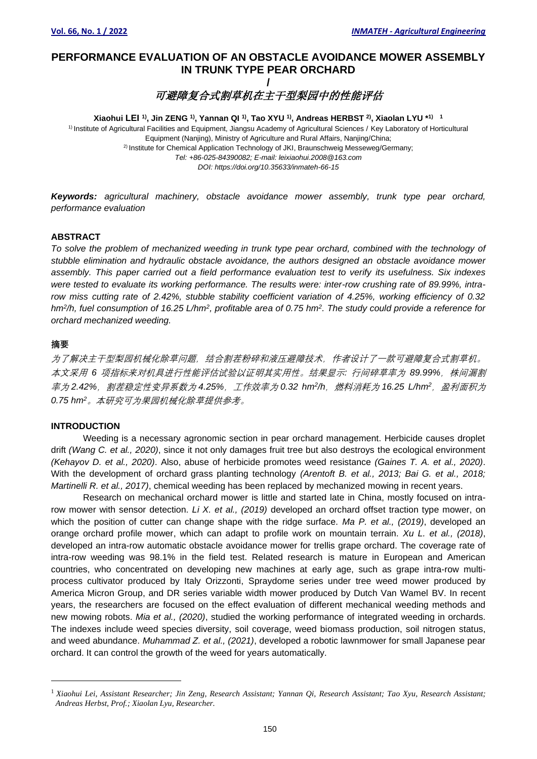# **PERFORMANCE EVALUATION OF AN OBSTACLE AVOIDANCE MOWER ASSEMBLY IN TRUNK TYPE PEAR ORCHARD /**

可避障复合式割草机在主干型梨园中的性能评估

**Xiaohui LEI 1), Jin ZENG 1), Yannan QI 1) , Tao XYU 1) , Andreas HERBST 2) , Xiaolan LYU \* 1) 1**

1) Institute of Agricultural Facilities and Equipment, Jiangsu Academy of Agricultural Sciences / Key Laboratory of Horticultural Equipment (Nanjing), Ministry of Agriculture and Rural Affairs, Nanjing/China; <sup>2)</sup> Institute for Chemical Application Technology of JKI, Braunschweig Messeweg/Germany; *Tel: +86-025-84390082; E-mail: leixiaohui.2008@163.com DOI: https://doi.org/10.35633/inmateh-66-15*

*Keywords: agricultural machinery, obstacle avoidance mower assembly, trunk type pear orchard, performance evaluation*

## **ABSTRACT**

*To solve the problem of mechanized weeding in trunk type pear orchard, combined with the technology of stubble elimination and hydraulic obstacle avoidance, the authors designed an obstacle avoidance mower assembly. This paper carried out a field performance evaluation test to verify its usefulness. Six indexes were tested to evaluate its working performance. The results were: inter-row crushing rate of 89.99%, intrarow miss cutting rate of 2.42%, stubble stability coefficient variation of 4.25%, working efficiency of 0.32 hm<sup>2</sup> /h, fuel consumption of 16.25 L/hm<sup>2</sup> , profitable area of 0.75 hm<sup>2</sup> . The study could provide a reference for orchard mechanized weeding.*

#### **摘要**

为了解决主干型梨园机械化除草问题,结合割茬粉碎和液压避障技术,作者设计了一款可避障复合式割草机。 本文采用 6 项指标来对机具进行性能评估试验以证明其实用性。结果显示: 行间碎草率为 89.99%, 株间漏割 率为 *2.42%*,割茬稳定性变异系数为 *4.25%*,工作效率为 *0.32 hm<sup>2</sup> /h*,燃料消耗为 *16.25 L/hm<sup>2</sup>*,盈利面积为 *0.75 hm<sup>2</sup>*。本研究可为果园机械化除草提供参考。

## **INTRODUCTION**

Weeding is a necessary agronomic section in pear orchard management. Herbicide causes droplet drift *(Wang C. et al., 2020)*, since it not only damages fruit tree but also destroys the ecological environment *(Kehayov D. et al., 2020)*. Also, abuse of herbicide promotes weed resistance *(Gaines T. A. et al., 2020)*. With the development of orchard grass planting technology *(Arentoft B. et al., 2013; Bai G. et al., 2018; Martinelli R. et al., 2017)*, chemical weeding has been replaced by mechanized mowing in recent years.

Research on mechanical orchard mower is little and started late in China, mostly focused on intrarow mower with sensor detection. *Li X. et al., (2019)* developed an orchard offset traction type mower, on which the position of cutter can change shape with the ridge surface. *Ma P. et al., (2019)*, developed an orange orchard profile mower, which can adapt to profile work on mountain terrain. *Xu L. et al., (2018)*, developed an intra-row automatic obstacle avoidance mower for trellis grape orchard. The coverage rate of intra-row weeding was 98.1% in the field test. Related research is mature in European and American countries, who concentrated on developing new machines at early age, such as grape intra-row multiprocess cultivator produced by Italy Orizzonti, Spraydome series under tree weed mower produced by America Micron Group, and DR series variable width mower produced by Dutch Van Wamel BV. In recent years, the researchers are focused on the effect evaluation of different mechanical weeding methods and new mowing robots. *Mia et al., (2020)*, studied the working performance of integrated weeding in orchards. The indexes include weed species diversity, soil coverage, weed biomass production, soil nitrogen status, and weed abundance. *Muhammad Z. et al., (2021)*, developed a robotic lawnmower for small Japanese pear orchard. It can control the growth of the weed for years automatically.

<sup>1</sup> *Xiaohui Lei, Assistant Researcher; Jin Zeng, Research Assistant; Yannan Qi, Research Assistant; Tao Xyu, Research Assistant; Andreas Herbst, Prof.; Xiaolan Lyu, Researcher.*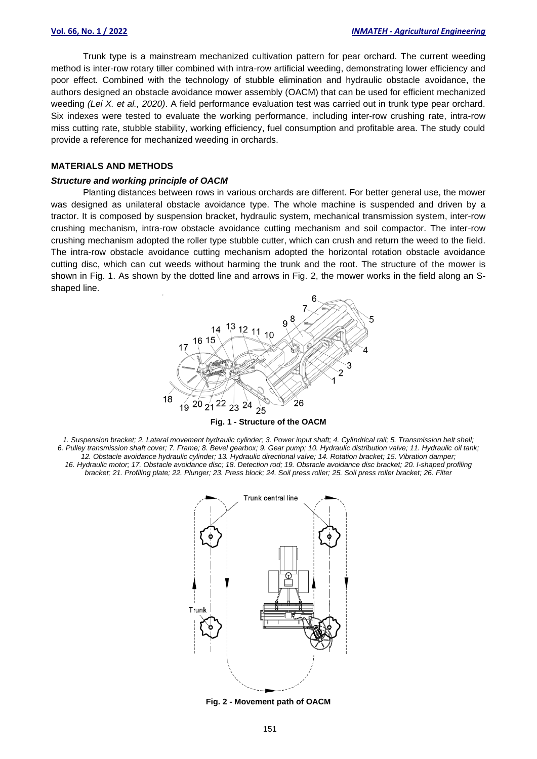Trunk type is a mainstream mechanized cultivation pattern for pear orchard. The current weeding method is inter-row rotary tiller combined with intra-row artificial weeding, demonstrating lower efficiency and poor effect. Combined with the technology of stubble elimination and hydraulic obstacle avoidance, the authors designed an obstacle avoidance mower assembly (OACM) that can be used for efficient mechanized weeding *(Lei X. et al., 2020)*. A field performance evaluation test was carried out in trunk type pear orchard. Six indexes were tested to evaluate the working performance, including inter-row crushing rate, intra-row miss cutting rate, stubble stability, working efficiency, fuel consumption and profitable area. The study could provide a reference for mechanized weeding in orchards.

## **MATERIALS AND METHODS**

#### *Structure and working principle of OACM*

Planting distances between rows in various orchards are different. For better general use, the mower was designed as unilateral obstacle avoidance type. The whole machine is suspended and driven by a tractor. It is composed by suspension bracket, hydraulic system, mechanical transmission system, inter-row crushing mechanism, intra-row obstacle avoidance cutting mechanism and soil compactor. The inter-row crushing mechanism adopted the roller type stubble cutter, which can crush and return the weed to the field. The intra-row obstacle avoidance cutting mechanism adopted the horizontal rotation obstacle avoidance cutting disc, which can cut weeds without harming the trunk and the root. The structure of the mower is shown in Fig. 1. As shown by the dotted line and arrows in Fig. 2, the mower works in the field along an Sshaped line.



*1. Suspension bracket; 2. Lateral movement hydraulic cylinder; 3. Power input shaft; 4. Cylindrical rail; 5. Transmission belt shell; 6. Pulley transmission shaft cover; 7. Frame; 8. Bevel gearbox; 9. Gear pump; 10. Hydraulic distribution valve; 11. Hydraulic oil tank; 12. Obstacle avoidance hydraulic cylinder; 13. Hydraulic directional valve; 14. Rotation bracket; 15. Vibration damper; 16. Hydraulic motor; 17. Obstacle avoidance disc; 18. Detection rod; 19. Obstacle avoidance disc bracket; 20. I-shaped profiling bracket; 21. Profiling plate; 22. Plunger; 23. Press block; 24. Soil press roller; 25. Soil press roller bracket; 26. Filter*

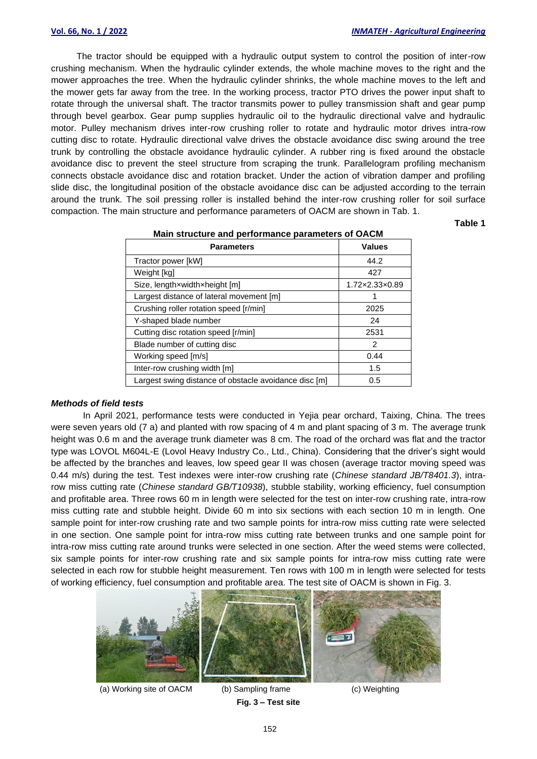The tractor should be equipped with a hydraulic output system to control the position of inter-row crushing mechanism. When the hydraulic cylinder extends, the whole machine moves to the right and the mower approaches the tree. When the hydraulic cylinder shrinks, the whole machine moves to the left and the mower gets far away from the tree. In the working process, tractor PTO drives the power input shaft to rotate through the universal shaft. The tractor transmits power to pulley transmission shaft and gear pump through bevel gearbox. Gear pump supplies hydraulic oil to the hydraulic directional valve and hydraulic motor. Pulley mechanism drives inter-row crushing roller to rotate and hydraulic motor drives intra-row cutting disc to rotate. Hydraulic directional valve drives the obstacle avoidance disc swing around the tree trunk by controlling the obstacle avoidance hydraulic cylinder. A rubber ring is fixed around the obstacle avoidance disc to prevent the steel structure from scraping the trunk. Parallelogram profiling mechanism connects obstacle avoidance disc and rotation bracket. Under the action of vibration damper and profiling slide disc, the longitudinal position of the obstacle avoidance disc can be adjusted according to the terrain around the trunk. The soil pressing roller is installed behind the inter-row crushing roller for soil surface compaction. The main structure and performance parameters of OACM are shown in Tab. 1.

**Table 1**

| <b>Mail Structure and performance parameters of OAOM</b> |                                |  |
|----------------------------------------------------------|--------------------------------|--|
| <b>Parameters</b>                                        | <b>Values</b>                  |  |
| Tractor power [kW]                                       | 44.2                           |  |
| Weight [kg]                                              | 427                            |  |
| Size, lengthxwidthxheight [m]                            | $1.72 \times 2.33 \times 0.89$ |  |
| Largest distance of lateral movement [m]                 | 1                              |  |
| Crushing roller rotation speed [r/min]                   | 2025                           |  |
| Y-shaped blade number                                    | 24                             |  |
| Cutting disc rotation speed [r/min]                      | 2531                           |  |
| Blade number of cutting disc                             | 2                              |  |
| Working speed [m/s]                                      | 0.44                           |  |
| Inter-row crushing width [m]                             | 1.5                            |  |
| Largest swing distance of obstacle avoidance disc [m]    | 0.5                            |  |

# **Main structure and performance parameters of OACM**

#### *Methods of field tests*

In April 2021, performance tests were conducted in Yejia pear orchard, Taixing, China. The trees were seven years old (7 a) and planted with row spacing of 4 m and plant spacing of 3 m. The average trunk height was 0.6 m and the average trunk diameter was 8 cm. The road of the orchard was flat and the tractor type was LOVOL M604L-E (Lovol Heavy Industry Co., Ltd., China). Considering that the driver's sight would be affected by the branches and leaves, low speed gear II was chosen (average tractor moving speed was 0.44 m/s) during the test. Test indexes were inter-row crushing rate (*Chinese standard JB/T8401.3*), intrarow miss cutting rate (*Chinese standard GB/T10938*), stubble stability, working efficiency, fuel consumption and profitable area. Three rows 60 m in length were selected for the test on inter-row crushing rate, intra-row miss cutting rate and stubble height. Divide 60 m into six sections with each section 10 m in length. One sample point for inter-row crushing rate and two sample points for intra-row miss cutting rate were selected in one section. One sample point for intra-row miss cutting rate between trunks and one sample point for intra-row miss cutting rate around trunks were selected in one section. After the weed stems were collected, six sample points for inter-row crushing rate and six sample points for intra-row miss cutting rate were selected in each row for stubble height measurement. Ten rows with 100 m in length were selected for tests of working efficiency, fuel consumption and profitable area. The test site of OACM is shown in Fig. 3.



(a) Working site of OACM (b) Sampling frame (c) Weighting

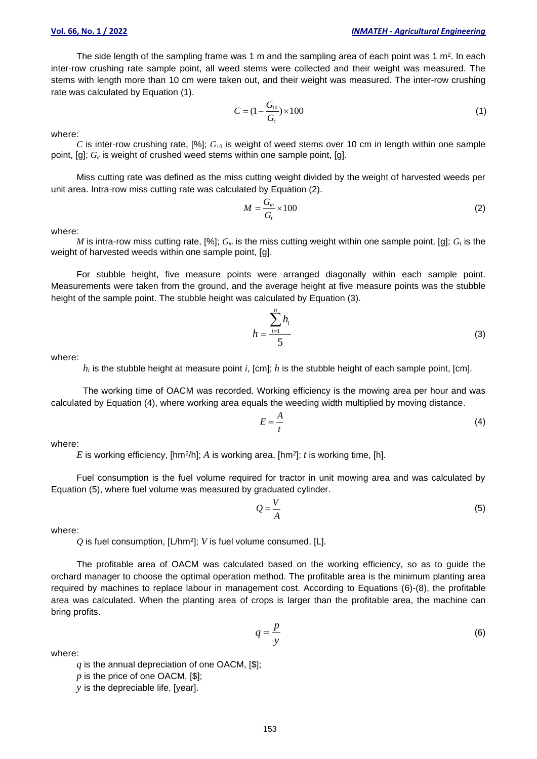The side length of the sampling frame was 1 m and the sampling area of each point was 1 m². In each inter-row crushing rate sample point, all weed stems were collected and their weight was measured. The stems with length more than 10 cm were taken out, and their weight was measured. The inter-row crushing rate was calculated by Equation (1).

$$
C = (1 - \frac{G_{10}}{G_c}) \times 100
$$
 (1)

where:

*C* is inter-row crushing rate,  $[%]$ ;  $G_{10}$  is weight of weed stems over 10 cm in length within one sample point, [g]; *G<sup>c</sup>* is weight of crushed weed stems within one sample point, [g].

Miss cutting rate was defined as the miss cutting weight divided by the weight of harvested weeds per unit area. Intra-row miss cutting rate was calculated by Equation (2).

$$
M = \frac{G_m}{G_t} \times 100\tag{2}
$$

where:

*M* is intra-row miss cutting rate, [%];  $G_m$  is the miss cutting weight within one sample point, [g];  $G_t$  is the weight of harvested weeds within one sample point, [g].

For stubble height, five measure points were arranged diagonally within each sample point. Measurements were taken from the ground, and the average height at five measure points was the stubble height of the sample point. The stubble height was calculated by Equation (3).

$$
h = \frac{\sum_{i=1}^{n} h_i}{5}
$$
 (3)

where:

*h<sup>i</sup>* is the stubble height at measure point *i*, [cm]; *h* is the stubble height of each sample point, [cm].

The working time of OACM was recorded. Working efficiency is the mowing area per hour and was calculated by Equation (4), where working area equals the weeding width multiplied by moving distance.

$$
E = \frac{A}{t} \tag{4}
$$

where:

E is working efficiency, [hm<sup>2</sup>/h]; A is working area, [hm<sup>2</sup>]; t is working time, [h].

Fuel consumption is the fuel volume required for tractor in unit mowing area and was calculated by Equation (5), where fuel volume was measured by graduated cylinder.

$$
Q = \frac{V}{A} \tag{5}
$$

 $=\frac{P}{\sqrt{2}}$  (6)

where:

*Q* is fuel consumption, [L/hm<sup>2</sup> ]; *V* is fuel volume consumed, [L].

The profitable area of OACM was calculated based on the working efficiency, so as to guide the orchard manager to choose the optimal operation method. The profitable area is the minimum planting area required by machines to replace labour in management cost. According to Equations (6)-(8), the profitable area was calculated. When the planting area of crops is larger than the profitable area, the machine can bring profits.

> $q = \frac{p}{q}$ *y*

where:

*q* is the annual depreciation of one OACM, [\$];

*p* is the price of one OACM, [\$];

*y* is the depreciable life, [year].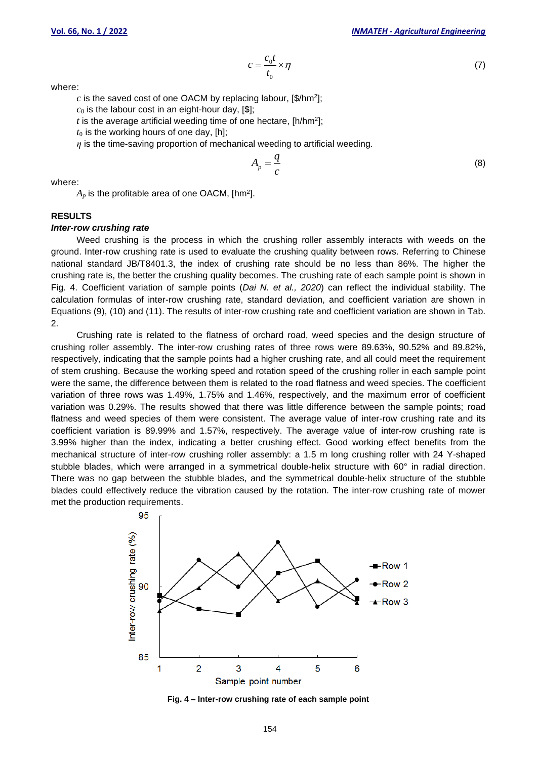$$
=\frac{c_0 t}{t_0} \times \eta \tag{7}
$$

where:

 $c$  is the saved cost of one OACM by replacing labour, [\$/hm<sup>2</sup>];

 $c_0$  is the labour cost in an eight-hour day,  $[$];$ 

 $t$  is the average artificial weeding time of one hectare, [h/hm<sup>2</sup>];

 $t_0$  is the working hours of one day, [h];

*η* is the time-saving proportion of mechanical weeding to artificial weeding.

*c*

$$
A_p = \frac{q}{c} \tag{8}
$$

where:

 $A_p$  is the profitable area of one OACM, [hm²].

### **RESULTS**

#### *Inter-row crushing rate*

Weed crushing is the process in which the crushing roller assembly interacts with weeds on the ground. Inter-row crushing rate is used to evaluate the crushing quality between rows. Referring to Chinese national standard JB/T8401.3, the index of crushing rate should be no less than 86%. The higher the crushing rate is, the better the crushing quality becomes. The crushing rate of each sample point is shown in Fig. 4. Coefficient variation of sample points (*Dai N. et al., 2020*) can reflect the individual stability. The calculation formulas of inter-row crushing rate, standard deviation, and coefficient variation are shown in Equations (9), (10) and (11). The results of inter-row crushing rate and coefficient variation are shown in Tab. 2.

Crushing rate is related to the flatness of orchard road, weed species and the design structure of crushing roller assembly. The inter-row crushing rates of three rows were 89.63%, 90.52% and 89.82%, respectively, indicating that the sample points had a higher crushing rate, and all could meet the requirement of stem crushing. Because the working speed and rotation speed of the crushing roller in each sample point were the same, the difference between them is related to the road flatness and weed species. The coefficient variation of three rows was 1.49%, 1.75% and 1.46%, respectively, and the maximum error of coefficient variation was 0.29%. The results showed that there was little difference between the sample points; road flatness and weed species of them were consistent. The average value of inter-row crushing rate and its coefficient variation is 89.99% and 1.57%, respectively. The average value of inter-row crushing rate is 3.99% higher than the index, indicating a better crushing effect. Good working effect benefits from the mechanical structure of inter-row crushing roller assembly: a 1.5 m long crushing roller with 24 Y-shaped stubble blades, which were arranged in a symmetrical double-helix structure with 60° in radial direction. There was no gap between the stubble blades, and the symmetrical double-helix structure of the stubble blades could effectively reduce the vibration caused by the rotation. The inter-row crushing rate of mower met the production requirements.



**Fig. 4 – Inter-row crushing rate of each sample point**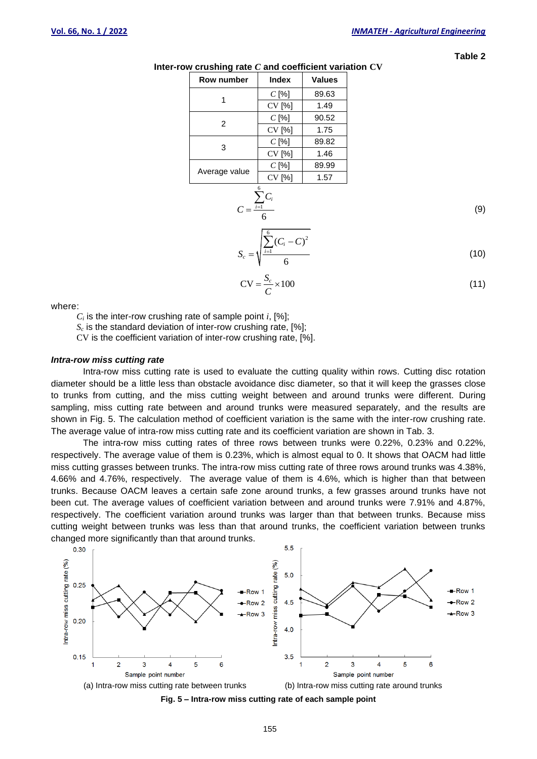**Table 2**

| Row number    | <b>Index</b> | <b>Values</b> |  |
|---------------|--------------|---------------|--|
|               | $C$ [%]      | 89.63         |  |
|               | CV [%]       | 1.49          |  |
| 2             | $C$ [%]      | 90.52         |  |
|               | CV [%]       | 1.75          |  |
| 3             | $C$ [%]      | 89.82         |  |
|               | CV [%]       | 1.46          |  |
|               | $C$ [%]      | 89.99         |  |
| Average value | CV [%]       | 1.57          |  |
|               | 6            |               |  |

*i*

 $6$ 

*C*

**Inter-row crushing rate** *C* **and coefficient variation CV**

1 6 *i C*  $=$  $\frac{i}{i}$  $\sum$ (9)

$$
S_c = \sqrt{\frac{\sum_{i=1}^{i} (C_i - C)^2}{6}}
$$
 (10)

$$
CV = \frac{S_c}{C} \times 100
$$
 (11)

where:

 $C_i$  is the inter-row crushing rate of sample point *i*, [%];

 $S_c$  is the standard deviation of inter-row crushing rate,  $[\%]$ ;

CV is the coefficient variation of inter-row crushing rate, [%].

## *Intra-row miss cutting rate*

Intra-row miss cutting rate is used to evaluate the cutting quality within rows. Cutting disc rotation diameter should be a little less than obstacle avoidance disc diameter, so that it will keep the grasses close to trunks from cutting, and the miss cutting weight between and around trunks were different. During sampling, miss cutting rate between and around trunks were measured separately, and the results are shown in Fig. 5. The calculation method of coefficient variation is the same with the inter-row crushing rate. The average value of intra-row miss cutting rate and its coefficient variation are shown in Tab. 3.

The intra-row miss cutting rates of three rows between trunks were 0.22%, 0.23% and 0.22%, respectively. The average value of them is 0.23%, which is almost equal to 0. It shows that OACM had little miss cutting grasses between trunks. The intra-row miss cutting rate of three rows around trunks was 4.38%, 4.66% and 4.76%, respectively. The average value of them is 4.6%, which is higher than that between trunks. Because OACM leaves a certain safe zone around trunks, a few grasses around trunks have not been cut. The average values of coefficient variation between and around trunks were 7.91% and 4.87%, respectively. The coefficient variation around trunks was larger than that between trunks. Because miss cutting weight between trunks was less than that around trunks, the coefficient variation between trunks changed more significantly than that around trunks.





155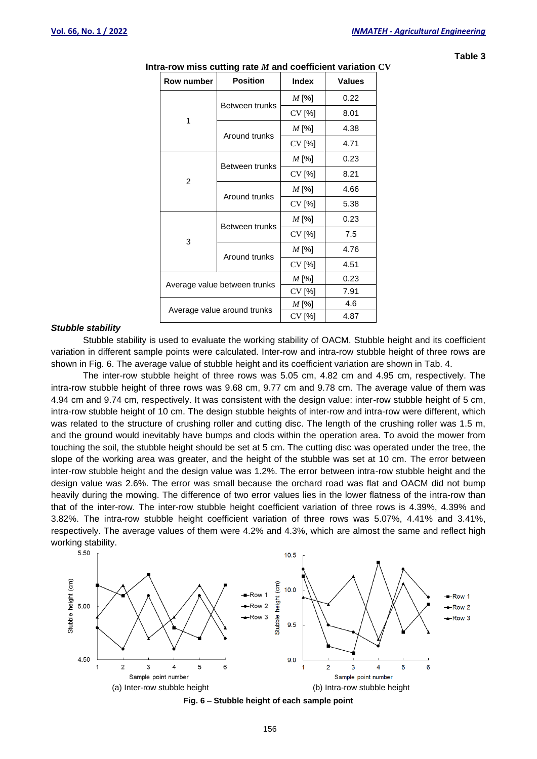| u<br>۰. |  |
|---------|--|
|---------|--|

| Row number                   | <b>Position</b> | <b>Index</b> | <b>Values</b> |
|------------------------------|-----------------|--------------|---------------|
| 1                            | Between trunks  | M [%]        | 0.22          |
|                              |                 | CV [%]       | 8.01          |
|                              | Around trunks   | $M$ [%]      | 4.38          |
|                              |                 | CV [%]       | 4.71          |
| 2                            | Between trunks  | $M$ [%]      | 0.23          |
|                              |                 | CV [%]       | 8.21          |
|                              | Around trunks   | $M$ [%]      | 4.66          |
|                              |                 | CV [%]       | 5.38          |
| 3                            | Between trunks  | $M$ [%]      | 0.23          |
|                              |                 | CV [%]       | 7.5           |
|                              | Around trunks   | $M$ [%]      | 4.76          |
|                              |                 | CV [%]       | 4.51          |
| Average value between trunks |                 | $M$ [%]      | 0.23          |
|                              |                 | CV [%]       | 7.91          |
| Average value around trunks  |                 | $M$ [%]      | 4.6           |
|                              |                 | CV [%]       | 4.87          |

#### **Intra-row miss cutting rate** *M* **and coefficient variation CV**

#### *Stubble stability*

Stubble stability is used to evaluate the working stability of OACM. Stubble height and its coefficient variation in different sample points were calculated. Inter-row and intra-row stubble height of three rows are shown in Fig. 6. The average value of stubble height and its coefficient variation are shown in Tab. 4.

The inter-row stubble height of three rows was 5.05 cm, 4.82 cm and 4.95 cm, respectively. The intra-row stubble height of three rows was 9.68 cm, 9.77 cm and 9.78 cm. The average value of them was 4.94 cm and 9.74 cm, respectively. It was consistent with the design value: inter-row stubble height of 5 cm, intra-row stubble height of 10 cm. The design stubble heights of inter-row and intra-row were different, which was related to the structure of crushing roller and cutting disc. The length of the crushing roller was 1.5 m, and the ground would inevitably have bumps and clods within the operation area. To avoid the mower from touching the soil, the stubble height should be set at 5 cm. The cutting disc was operated under the tree, the slope of the working area was greater, and the height of the stubble was set at 10 cm. The error between inter-row stubble height and the design value was 1.2%. The error between intra-row stubble height and the design value was 2.6%. The error was small because the orchard road was flat and OACM did not bump heavily during the mowing. The difference of two error values lies in the lower flatness of the intra-row than that of the inter-row. The inter-row stubble height coefficient variation of three rows is 4.39%, 4.39% and 3.82%. The intra-row stubble height coefficient variation of three rows was 5.07%, 4.41% and 3.41%, respectively. The average values of them were 4.2% and 4.3%, which are almost the same and reflect high working stability.<br> $5.50$ 



**Fig. 6 – Stubble height of each sample point**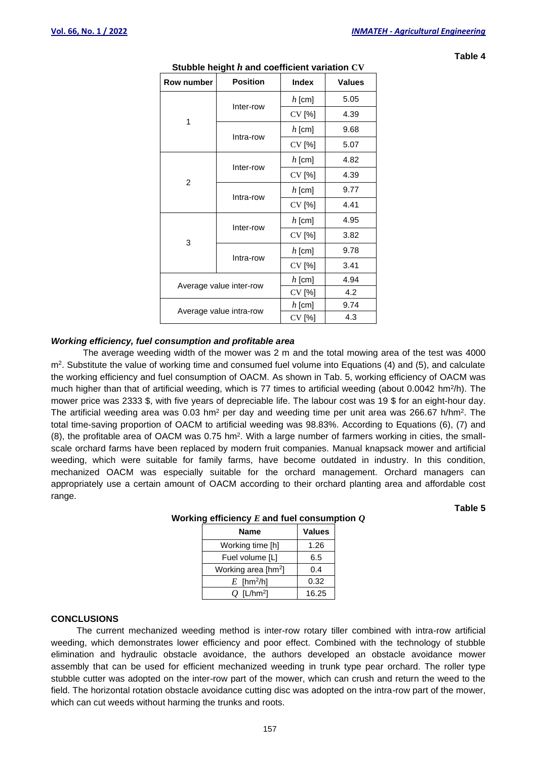**Table 4**

| Row number              | <b>Position</b> | <b>Index</b> | <b>Values</b> |
|-------------------------|-----------------|--------------|---------------|
| 1                       | Inter-row       | $h$ [cm]     | 5.05          |
|                         |                 | CV [%]       | 4.39          |
|                         | Intra-row       | $h$ [cm]     | 9.68          |
|                         |                 | CV [%]       | 5.07          |
| $\overline{2}$          | Inter-row       | $h$ [cm]     | 4.82          |
|                         |                 | CV [%]       | 4.39          |
|                         | Intra-row       | $h$ [cm]     | 9.77          |
|                         |                 | CV [%]       | 4.41          |
| 3                       | Inter-row       | $h$ [cm]     | 4.95          |
|                         |                 | CV [%]       | 3.82          |
|                         | Intra-row       | $h$ [cm]     | 9.78          |
|                         |                 | CV [%]       | 3.41          |
| Average value inter-row |                 | $h$ [cm]     | 4.94          |
|                         |                 | CV [%]       | 4.2           |
| Average value intra-row |                 | $h$ [cm]     | 9.74          |
|                         |                 | CV [%]       | 4.3           |

# **Stubble height** *h* **and coefficient variation CV**

# *Working efficiency, fuel consumption and profitable area*

The average weeding width of the mower was 2 m and the total mowing area of the test was 4000 m<sup>2</sup> . Substitute the value of working time and consumed fuel volume into Equations (4) and (5), and calculate the working efficiency and fuel consumption of OACM. As shown in Tab. 5, working efficiency of OACM was much higher than that of artificial weeding, which is 77 times to artificial weeding (about 0.0042 hm<sup>2</sup>/h). The mower price was 2333 \$, with five years of depreciable life. The labour cost was 19 \$ for an eight-hour day. The artificial weeding area was 0.03 hm<sup>2</sup> per day and weeding time per unit area was 266.67 h/hm<sup>2</sup>. The total time-saving proportion of OACM to artificial weeding was 98.83%. According to Equations (6), (7) and  $(8)$ , the profitable area of OACM was 0.75 hm<sup>2</sup>. With a large number of farmers working in cities, the smallscale orchard farms have been replaced by modern fruit companies. Manual knapsack mower and artificial weeding, which were suitable for family farms, have become outdated in industry. In this condition, mechanized OACM was especially suitable for the orchard management. Orchard managers can appropriately use a certain amount of OACM according to their orchard planting area and affordable cost range.

> **Name Values** Working time [h] | 1.26 Fuel volume [L] 6.5 Working area [hm<sup>2</sup>] ] 0.4  $E$  [hm<sup>2</sup>/h] 0.32 *Q* [L/hm<sup>2</sup> ] 16.25

# **Working efficiency** *E* **and fuel consumption** *Q*

# **CONCLUSIONS**

The current mechanized weeding method is inter-row rotary tiller combined with intra-row artificial weeding, which demonstrates lower efficiency and poor effect. Combined with the technology of stubble elimination and hydraulic obstacle avoidance, the authors developed an obstacle avoidance mower assembly that can be used for efficient mechanized weeding in trunk type pear orchard. The roller type stubble cutter was adopted on the inter-row part of the mower, which can crush and return the weed to the field. The horizontal rotation obstacle avoidance cutting disc was adopted on the intra-row part of the mower, which can cut weeds without harming the trunks and roots.

157

**Table 5**